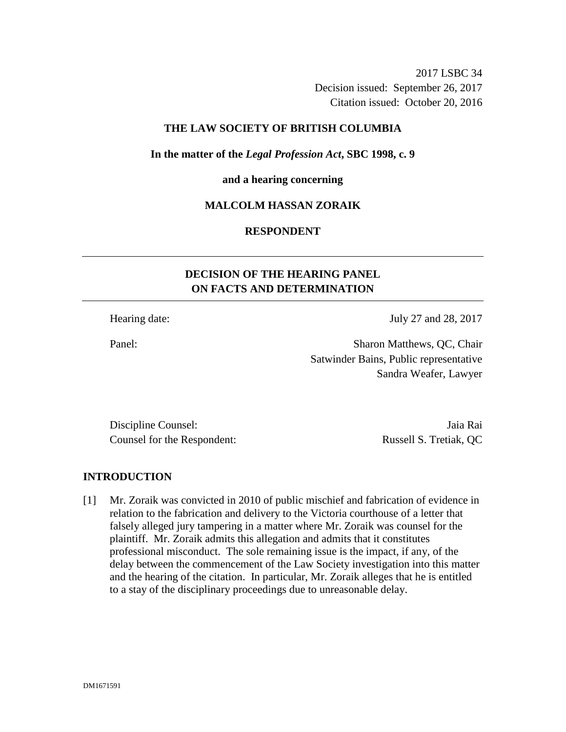2017 LSBC 34 Decision issued: September 26, 2017 Citation issued: October 20, 2016

# **THE LAW SOCIETY OF BRITISH COLUMBIA**

**In the matter of the** *Legal Profession Act***, SBC 1998, c. 9** 

# **and a hearing concerning**

### **MALCOLM HASSAN ZORAIK**

# **RESPONDENT**

# **DECISION OF THE HEARING PANEL ON FACTS AND DETERMINATION**

Hearing date: July 27 and 28, 2017

Panel: Sharon Matthews, QC, Chair Satwinder Bains, Public representative Sandra Weafer, Lawyer

Discipline Counsel: Jaia Rai Counsel for the Respondent: Russell S. Tretiak, QC

### **INTRODUCTION**

[1] Mr. Zoraik was convicted in 2010 of public mischief and fabrication of evidence in relation to the fabrication and delivery to the Victoria courthouse of a letter that falsely alleged jury tampering in a matter where Mr. Zoraik was counsel for the plaintiff. Mr. Zoraik admits this allegation and admits that it constitutes professional misconduct. The sole remaining issue is the impact, if any, of the delay between the commencement of the Law Society investigation into this matter and the hearing of the citation. In particular, Mr. Zoraik alleges that he is entitled to a stay of the disciplinary proceedings due to unreasonable delay.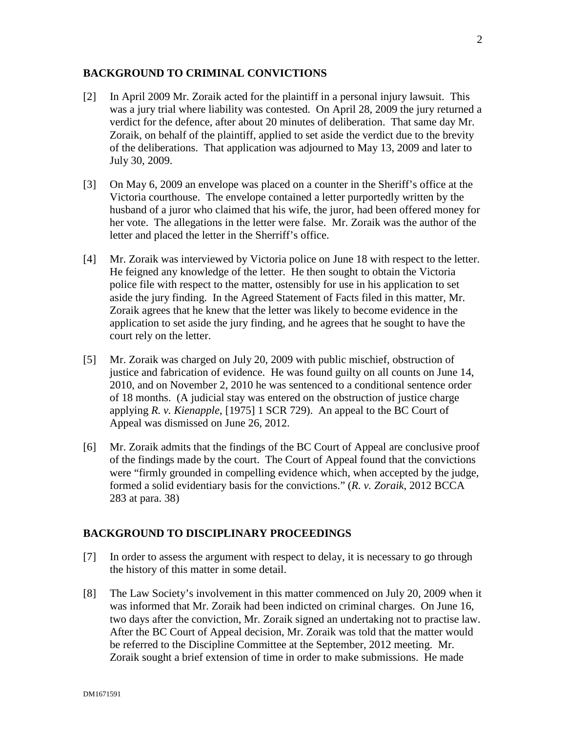### **BACKGROUND TO CRIMINAL CONVICTIONS**

- [2] In April 2009 Mr. Zoraik acted for the plaintiff in a personal injury lawsuit. This was a jury trial where liability was contested. On April 28, 2009 the jury returned a verdict for the defence, after about 20 minutes of deliberation. That same day Mr. Zoraik, on behalf of the plaintiff, applied to set aside the verdict due to the brevity of the deliberations. That application was adjourned to May 13, 2009 and later to July 30, 2009.
- [3] On May 6, 2009 an envelope was placed on a counter in the Sheriff's office at the Victoria courthouse. The envelope contained a letter purportedly written by the husband of a juror who claimed that his wife, the juror, had been offered money for her vote. The allegations in the letter were false. Mr. Zoraik was the author of the letter and placed the letter in the Sherriff's office.
- [4] Mr. Zoraik was interviewed by Victoria police on June 18 with respect to the letter. He feigned any knowledge of the letter. He then sought to obtain the Victoria police file with respect to the matter, ostensibly for use in his application to set aside the jury finding. In the Agreed Statement of Facts filed in this matter, Mr. Zoraik agrees that he knew that the letter was likely to become evidence in the application to set aside the jury finding, and he agrees that he sought to have the court rely on the letter.
- [5] Mr. Zoraik was charged on July 20, 2009 with public mischief, obstruction of justice and fabrication of evidence. He was found guilty on all counts on June 14, 2010, and on November 2, 2010 he was sentenced to a conditional sentence order of 18 months. (A judicial stay was entered on the obstruction of justice charge applying *R. v. Kienapple*, [1975] 1 SCR 729). An appeal to the BC Court of Appeal was dismissed on June 26, 2012.
- [6] Mr. Zoraik admits that the findings of the BC Court of Appeal are conclusive proof of the findings made by the court. The Court of Appeal found that the convictions were "firmly grounded in compelling evidence which, when accepted by the judge, formed a solid evidentiary basis for the convictions." (*R. v. Zoraik*, 2012 BCCA 283 at para. 38)

# **BACKGROUND TO DISCIPLINARY PROCEEDINGS**

- [7] In order to assess the argument with respect to delay, it is necessary to go through the history of this matter in some detail.
- [8] The Law Society's involvement in this matter commenced on July 20, 2009 when it was informed that Mr. Zoraik had been indicted on criminal charges. On June 16, two days after the conviction, Mr. Zoraik signed an undertaking not to practise law. After the BC Court of Appeal decision, Mr. Zoraik was told that the matter would be referred to the Discipline Committee at the September, 2012 meeting. Mr. Zoraik sought a brief extension of time in order to make submissions. He made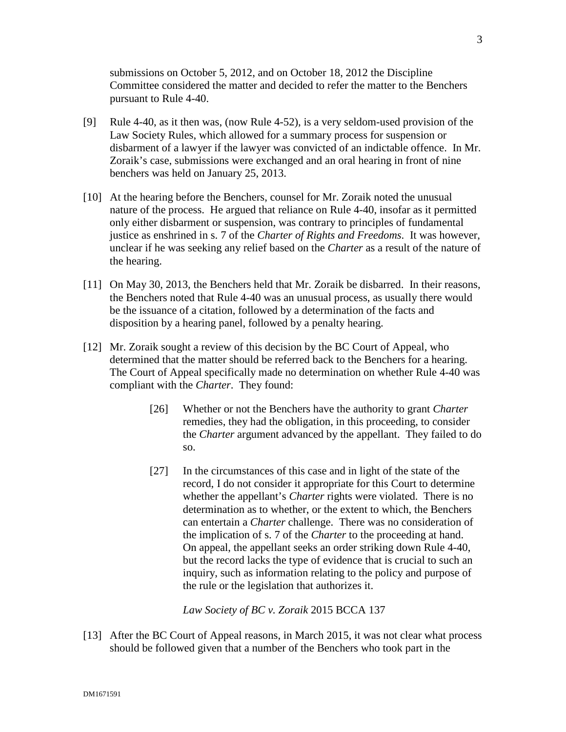submissions on October 5, 2012, and on October 18, 2012 the Discipline Committee considered the matter and decided to refer the matter to the Benchers pursuant to Rule 4-40.

- [9] Rule 4-40, as it then was, (now Rule 4-52), is a very seldom-used provision of the Law Society Rules, which allowed for a summary process for suspension or disbarment of a lawyer if the lawyer was convicted of an indictable offence. In Mr. Zoraik's case, submissions were exchanged and an oral hearing in front of nine benchers was held on January 25, 2013.
- [10] At the hearing before the Benchers, counsel for Mr. Zoraik noted the unusual nature of the process. He argued that reliance on Rule 4-40, insofar as it permitted only either disbarment or suspension, was contrary to principles of fundamental justice as enshrined in s. 7 of the *Charter of Rights and Freedoms*. It was however, unclear if he was seeking any relief based on the *Charter* as a result of the nature of the hearing.
- [11] On May 30, 2013, the Benchers held that Mr. Zoraik be disbarred. In their reasons, the Benchers noted that Rule 4-40 was an unusual process, as usually there would be the issuance of a citation, followed by a determination of the facts and disposition by a hearing panel, followed by a penalty hearing.
- [12] Mr. Zoraik sought a review of this decision by the BC Court of Appeal, who determined that the matter should be referred back to the Benchers for a hearing. The Court of Appeal specifically made no determination on whether Rule 4-40 was compliant with the *Charter*. They found:
	- [26] Whether or not the Benchers have the authority to grant *Charter* remedies, they had the obligation, in this proceeding, to consider the *Charter* argument advanced by the appellant. They failed to do so.
	- [27] In the circumstances of this case and in light of the state of the record, I do not consider it appropriate for this Court to determine whether the appellant's *Charter* rights were violated. There is no determination as to whether, or the extent to which, the Benchers can entertain a *Charter* challenge. There was no consideration of the implication of s. 7 of the *Charter* to the proceeding at hand. On appeal, the appellant seeks an order striking down Rule 4-40, but the record lacks the type of evidence that is crucial to such an inquiry, such as information relating to the policy and purpose of the rule or the legislation that authorizes it.

*Law Society of BC v. Zoraik* 2015 BCCA 137

[13] After the BC Court of Appeal reasons, in March 2015, it was not clear what process should be followed given that a number of the Benchers who took part in the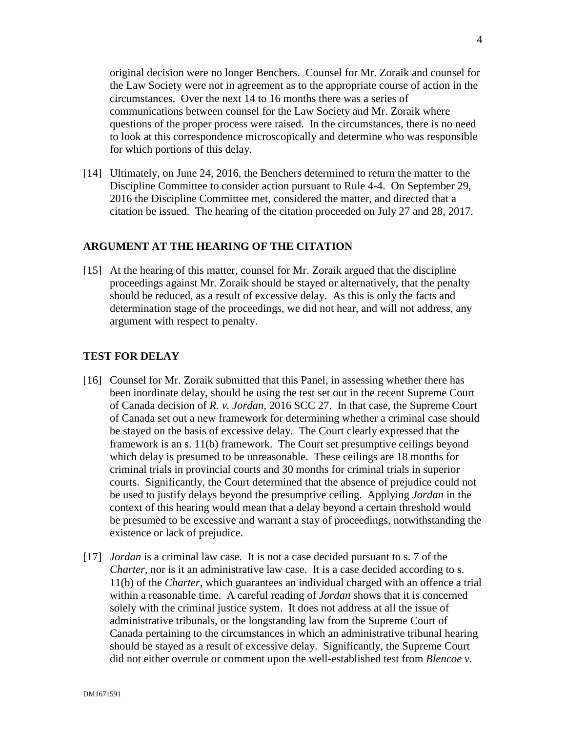original decision were no longer Benchers. Counsel for Mr. Zoraik and counsel for the Law Society were not in agreement as to the appropriate course of action in the circumstances. Over the next 14 to 16 months there was a series of communications between counsel for the Law Society and Mr. Zoraik where questions of the proper process were raised. In the circumstances, there is no need to look at this correspondence microscopically and determine who was responsible for which portions of this delay.

[14] Ultimately, on June 24, 2016, the Benchers determined to return the matter to the Discipline Committee to consider action pursuant to Rule 4-4. On September 29, 2016 the Discipline Committee met, considered the matter, and directed that a citation be issued. The hearing of the citation proceeded on July 27 and 28, 2017.

#### **ARGUMENT AT THE HEARING OF THE CITATION**

[15] At the hearing of this matter, counsel for Mr. Zoraik argued that the discipline proceedings against Mr. Zoraik should be stayed or alternatively, that the penalty should be reduced, as a result of excessive delay. As this is only the facts and determination stage of the proceedings, we did not hear, and will not address, any argument with respect to penalty.

### **TEST FOR DELAY**

- [16] Counsel for Mr. Zoraik submitted that this Panel, in assessing whether there has been inordinate delay, should be using the test set out in the recent Supreme Court of Canada decision of *R. v. Jordan*, 2016 SCC 27. In that case, the Supreme Court of Canada set out a new framework for determining whether a criminal case should be stayed on the basis of excessive delay. The Court clearly expressed that the framework is an s. 11(b) framework. The Court set presumptive ceilings beyond which delay is presumed to be unreasonable. These ceilings are 18 months for criminal trials in provincial courts and 30 months for criminal trials in superior courts. Significantly, the Court determined that the absence of prejudice could not be used to justify delays beyond the presumptive ceiling. Applying *Jordan* in the context of this hearing would mean that a delay beyond a certain threshold would be presumed to be excessive and warrant a stay of proceedings, notwithstanding the existence or lack of prejudice.
- [17] *Jordan* is a criminal law case. It is not a case decided pursuant to s. 7 of the *Charter*, nor is it an administrative law case. It is a case decided according to s. 11(b) of the *Charter*, which guarantees an individual charged with an offence a trial within a reasonable time. A careful reading of *Jordan* shows that it is concerned solely with the criminal justice system. It does not address at all the issue of administrative tribunals, or the longstanding law from the Supreme Court of Canada pertaining to the circumstances in which an administrative tribunal hearing should be stayed as a result of excessive delay. Significantly, the Supreme Court did not either overrule or comment upon the well-established test from *Blencoe v.*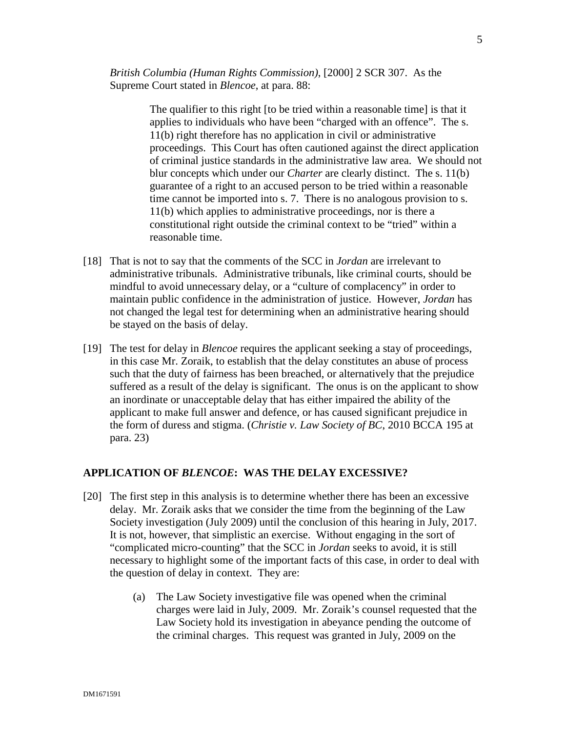*British Columbia (Human Rights Commission)*, [2000] 2 SCR 307. As the Supreme Court stated in *Blencoe*, at para. 88:

> The qualifier to this right [to be tried within a reasonable time] is that it applies to individuals who have been "charged with an offence". The s. 11(b) right therefore has no application in civil or administrative proceedings. This Court has often cautioned against the direct application of criminal justice standards in the administrative law area. We should not blur concepts which under our *Charter* are clearly distinct. The s. 11(b) guarantee of a right to an accused person to be tried within a reasonable time cannot be imported into s. 7. There is no analogous provision to s. 11(b) which applies to administrative proceedings, nor is there a constitutional right outside the criminal context to be "tried" within a reasonable time.

- [18] That is not to say that the comments of the SCC in *Jordan* are irrelevant to administrative tribunals. Administrative tribunals, like criminal courts, should be mindful to avoid unnecessary delay, or a "culture of complacency" in order to maintain public confidence in the administration of justice. However, *Jordan* has not changed the legal test for determining when an administrative hearing should be stayed on the basis of delay.
- [19] The test for delay in *Blencoe* requires the applicant seeking a stay of proceedings, in this case Mr. Zoraik, to establish that the delay constitutes an abuse of process such that the duty of fairness has been breached, or alternatively that the prejudice suffered as a result of the delay is significant. The onus is on the applicant to show an inordinate or unacceptable delay that has either impaired the ability of the applicant to make full answer and defence, or has caused significant prejudice in the form of duress and stigma. (*Christie v. Law Society of BC*, 2010 BCCA 195 at para. 23)

## **APPLICATION OF** *BLENCOE***: WAS THE DELAY EXCESSIVE?**

- [20] The first step in this analysis is to determine whether there has been an excessive delay. Mr. Zoraik asks that we consider the time from the beginning of the Law Society investigation (July 2009) until the conclusion of this hearing in July, 2017. It is not, however, that simplistic an exercise. Without engaging in the sort of "complicated micro-counting" that the SCC in *Jordan* seeks to avoid, it is still necessary to highlight some of the important facts of this case, in order to deal with the question of delay in context. They are:
	- (a) The Law Society investigative file was opened when the criminal charges were laid in July, 2009. Mr. Zoraik's counsel requested that the Law Society hold its investigation in abeyance pending the outcome of the criminal charges. This request was granted in July, 2009 on the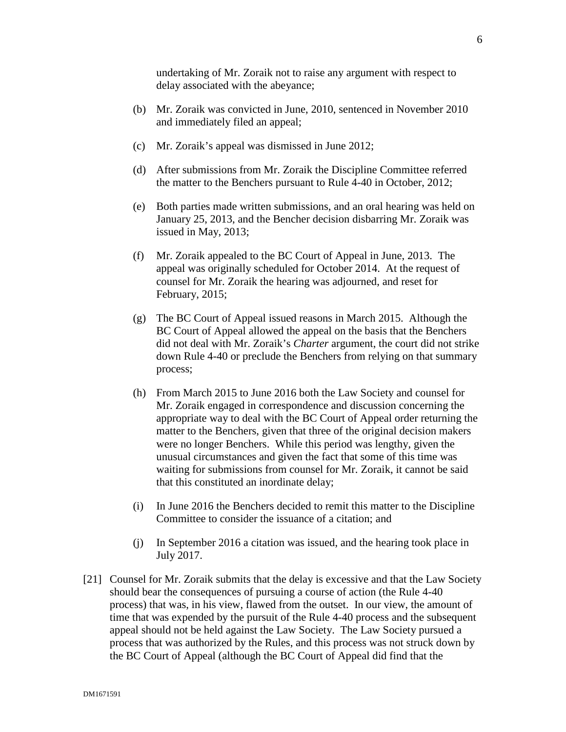undertaking of Mr. Zoraik not to raise any argument with respect to delay associated with the abeyance;

- (b) Mr. Zoraik was convicted in June, 2010, sentenced in November 2010 and immediately filed an appeal;
- (c) Mr. Zoraik's appeal was dismissed in June 2012;
- (d) After submissions from Mr. Zoraik the Discipline Committee referred the matter to the Benchers pursuant to Rule 4-40 in October, 2012;
- (e) Both parties made written submissions, and an oral hearing was held on January 25, 2013, and the Bencher decision disbarring Mr. Zoraik was issued in May, 2013;
- (f) Mr. Zoraik appealed to the BC Court of Appeal in June, 2013. The appeal was originally scheduled for October 2014. At the request of counsel for Mr. Zoraik the hearing was adjourned, and reset for February, 2015;
- (g) The BC Court of Appeal issued reasons in March 2015. Although the BC Court of Appeal allowed the appeal on the basis that the Benchers did not deal with Mr. Zoraik's *Charter* argument, the court did not strike down Rule 4-40 or preclude the Benchers from relying on that summary process;
- (h) From March 2015 to June 2016 both the Law Society and counsel for Mr. Zoraik engaged in correspondence and discussion concerning the appropriate way to deal with the BC Court of Appeal order returning the matter to the Benchers, given that three of the original decision makers were no longer Benchers. While this period was lengthy, given the unusual circumstances and given the fact that some of this time was waiting for submissions from counsel for Mr. Zoraik, it cannot be said that this constituted an inordinate delay;
- (i) In June 2016 the Benchers decided to remit this matter to the Discipline Committee to consider the issuance of a citation; and
- (j) In September 2016 a citation was issued, and the hearing took place in July 2017.
- [21] Counsel for Mr. Zoraik submits that the delay is excessive and that the Law Society should bear the consequences of pursuing a course of action (the Rule 4-40 process) that was, in his view, flawed from the outset. In our view, the amount of time that was expended by the pursuit of the Rule 4-40 process and the subsequent appeal should not be held against the Law Society. The Law Society pursued a process that was authorized by the Rules, and this process was not struck down by the BC Court of Appeal (although the BC Court of Appeal did find that the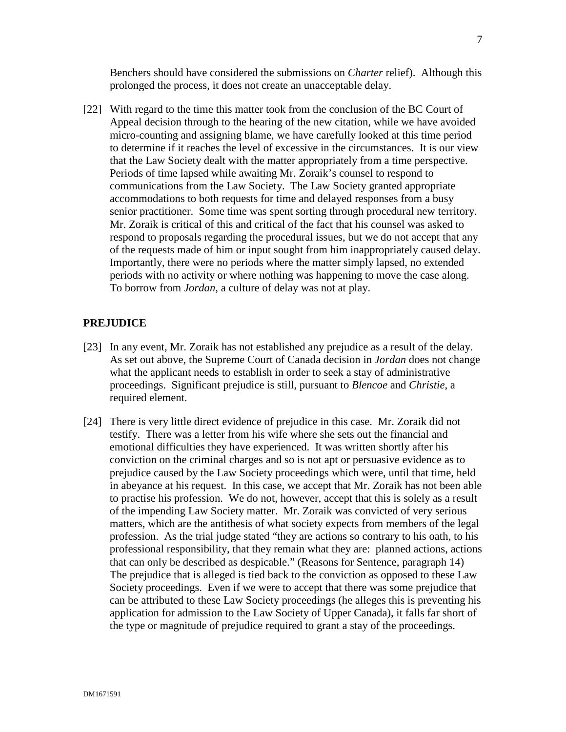Benchers should have considered the submissions on *Charter* relief). Although this prolonged the process, it does not create an unacceptable delay.

[22] With regard to the time this matter took from the conclusion of the BC Court of Appeal decision through to the hearing of the new citation, while we have avoided micro-counting and assigning blame, we have carefully looked at this time period to determine if it reaches the level of excessive in the circumstances. It is our view that the Law Society dealt with the matter appropriately from a time perspective. Periods of time lapsed while awaiting Mr. Zoraik's counsel to respond to communications from the Law Society. The Law Society granted appropriate accommodations to both requests for time and delayed responses from a busy senior practitioner. Some time was spent sorting through procedural new territory. Mr. Zoraik is critical of this and critical of the fact that his counsel was asked to respond to proposals regarding the procedural issues, but we do not accept that any of the requests made of him or input sought from him inappropriately caused delay. Importantly, there were no periods where the matter simply lapsed, no extended periods with no activity or where nothing was happening to move the case along. To borrow from *Jordan*, a culture of delay was not at play.

### **PREJUDICE**

- [23] In any event, Mr. Zoraik has not established any prejudice as a result of the delay. As set out above, the Supreme Court of Canada decision in *Jordan* does not change what the applicant needs to establish in order to seek a stay of administrative proceedings. Significant prejudice is still, pursuant to *Blencoe* and *Christie*, a required element.
- [24] There is very little direct evidence of prejudice in this case. Mr. Zoraik did not testify. There was a letter from his wife where she sets out the financial and emotional difficulties they have experienced. It was written shortly after his conviction on the criminal charges and so is not apt or persuasive evidence as to prejudice caused by the Law Society proceedings which were, until that time, held in abeyance at his request. In this case, we accept that Mr. Zoraik has not been able to practise his profession. We do not, however, accept that this is solely as a result of the impending Law Society matter. Mr. Zoraik was convicted of very serious matters, which are the antithesis of what society expects from members of the legal profession. As the trial judge stated "they are actions so contrary to his oath, to his professional responsibility, that they remain what they are: planned actions, actions that can only be described as despicable." (Reasons for Sentence, paragraph 14) The prejudice that is alleged is tied back to the conviction as opposed to these Law Society proceedings. Even if we were to accept that there was some prejudice that can be attributed to these Law Society proceedings (he alleges this is preventing his application for admission to the Law Society of Upper Canada), it falls far short of the type or magnitude of prejudice required to grant a stay of the proceedings.